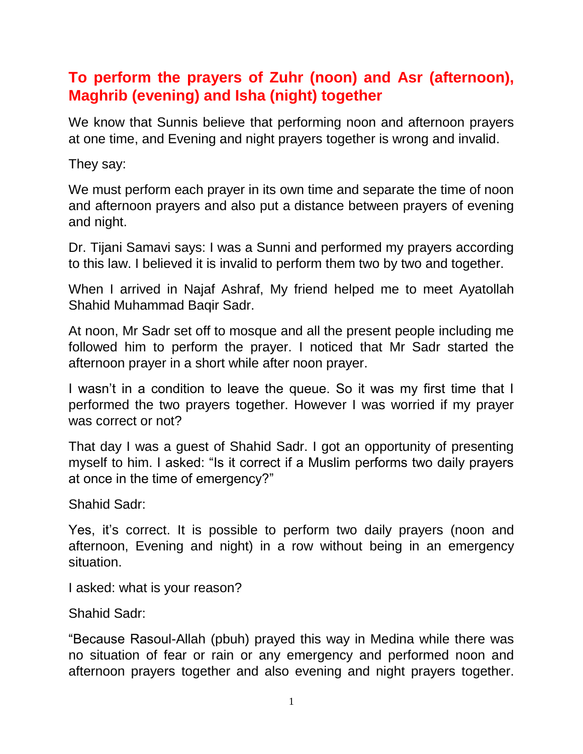## **To perform the prayers of Zuhr (noon) and Asr (afternoon), Maghrib (evening) and Isha (night) together**

We know that Sunnis believe that performing noon and afternoon prayers at one time, and Evening and night prayers together is wrong and invalid.

They say:

We must perform each prayer in its own time and separate the time of noon and afternoon prayers and also put a distance between prayers of evening and night.

Dr. Tijani Samavi says: I was a Sunni and performed my prayers according to this law. I believed it is invalid to perform them two by two and together.

When I arrived in Najaf Ashraf, My friend helped me to meet Ayatollah Shahid Muhammad Baqir Sadr.

At noon, Mr Sadr set off to mosque and all the present people including me followed him to perform the prayer. I noticed that Mr Sadr started the afternoon prayer in a short while after noon prayer.

I wasn't in a condition to leave the queue. So it was my first time that I performed the two prayers together. However I was worried if my prayer was correct or not?

That day I was a guest of Shahid Sadr. I got an opportunity of presenting myself to him. I asked: "Is it correct if a Muslim performs two daily prayers at once in the time of emergency?"

Shahid Sadr:

Yes, it's correct. It is possible to perform two daily prayers (noon and afternoon, Evening and night) in a row without being in an emergency situation.

I asked: what is your reason?

Shahid Sadr:

"Because Rasoul-Allah (pbuh) prayed this way in Medina while there was no situation of fear or rain or any emergency and performed noon and afternoon prayers together and also evening and night prayers together.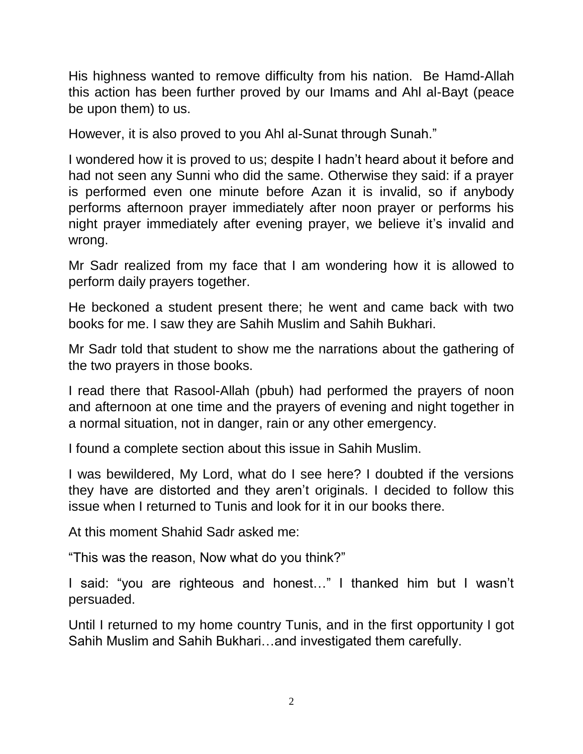His highness wanted to remove difficulty from his nation. Be Hamd-Allah this action has been further proved by our Imams and Ahl al-Bayt (peace be upon them) to us.

However, it is also proved to you Ahl al-Sunat through Sunah."

I wondered how it is proved to us; despite I hadn't heard about it before and had not seen any Sunni who did the same. Otherwise they said: if a prayer is performed even one minute before Azan it is invalid, so if anybody performs afternoon prayer immediately after noon prayer or performs his night prayer immediately after evening prayer, we believe it's invalid and wrong.

Mr Sadr realized from my face that I am wondering how it is allowed to perform daily prayers together.

He beckoned a student present there; he went and came back with two books for me. I saw they are Sahih Muslim and Sahih Bukhari.

Mr Sadr told that student to show me the narrations about the gathering of the two prayers in those books.

I read there that Rasool-Allah (pbuh) had performed the prayers of noon and afternoon at one time and the prayers of evening and night together in a normal situation, not in danger, rain or any other emergency.

I found a complete section about this issue in Sahih Muslim.

I was bewildered, My Lord, what do I see here? I doubted if the versions they have are distorted and they aren't originals. I decided to follow this issue when I returned to Tunis and look for it in our books there.

At this moment Shahid Sadr asked me:

"This was the reason, Now what do you think?"

I said: "you are righteous and honest…" I thanked him but I wasn't persuaded.

Until I returned to my home country Tunis, and in the first opportunity I got Sahih Muslim and Sahih Bukhari…and investigated them carefully.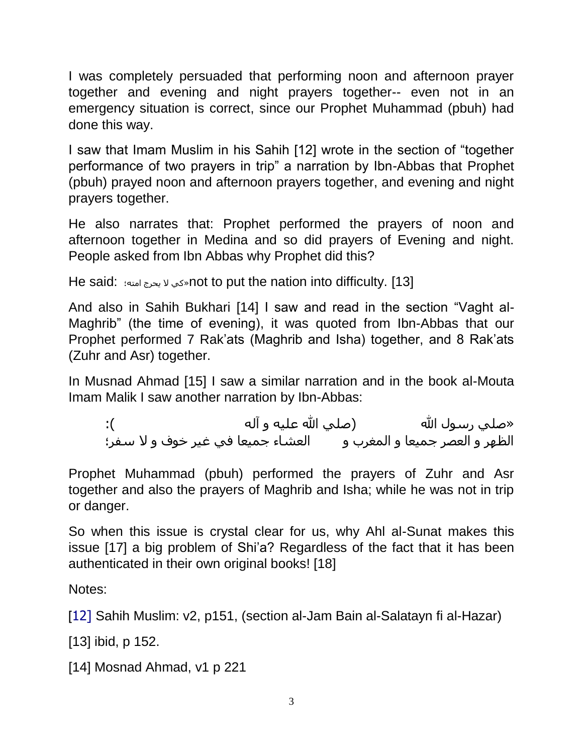I was completely persuaded that performing noon and afternoon prayer together and evening and night prayers together-- even not in an emergency situation is correct, since our Prophet Muhammad (pbuh) had done this way.

I saw that Imam Muslim in his Sahih [12] wrote in the section of "together performance of two prayers in trip" a narration by Ibn-Abbas that Prophet (pbuh) prayed noon and afternoon prayers together, and evening and night prayers together.

He also narrates that: Prophet performed the prayers of noon and afternoon together in Medina and so did prayers of Evening and night. People asked from Ibn Abbas why Prophet did this?

He said: الحي لا يحرج امته؛  $\sim$ not to put the nation into difficulty. [13]

And also in Sahih Bukhari [14] I saw and read in the section "Vaght al-Maghrib" (the time of evening), it was quoted from Ibn-Abbas that our Prophet performed 7 Rak'ats (Maghrib and Isha) together, and 8 Rak'ats (Zuhr and Asr) together.

In Musnad Ahmad [15] I saw a similar narration and in the book al-Mouta Imam Malik I saw another narration by Ibn-Abbas:

«صلي رسـول الله (صلـي الله عليه و آله ): الظهر و العصر جميعا و المغرب و العشاء جميعا في غير خوف و لا سـفر؛

Prophet Muhammad (pbuh) performed the prayers of Zuhr and Asr together and also the prayers of Maghrib and Isha; while he was not in trip or danger.

So when this issue is crystal clear for us, why Ahl al-Sunat makes this issue [17] a big problem of Shi'a? Regardless of the fact that it has been authenticated in their own original books! [18]

Notes:

[12] Sahih Muslim: v2, p151, (section al-Jam Bain al-Salatayn fi al-Hazar)

[13] ibid, p 152.

[14] Mosnad Ahmad, v1 p 221